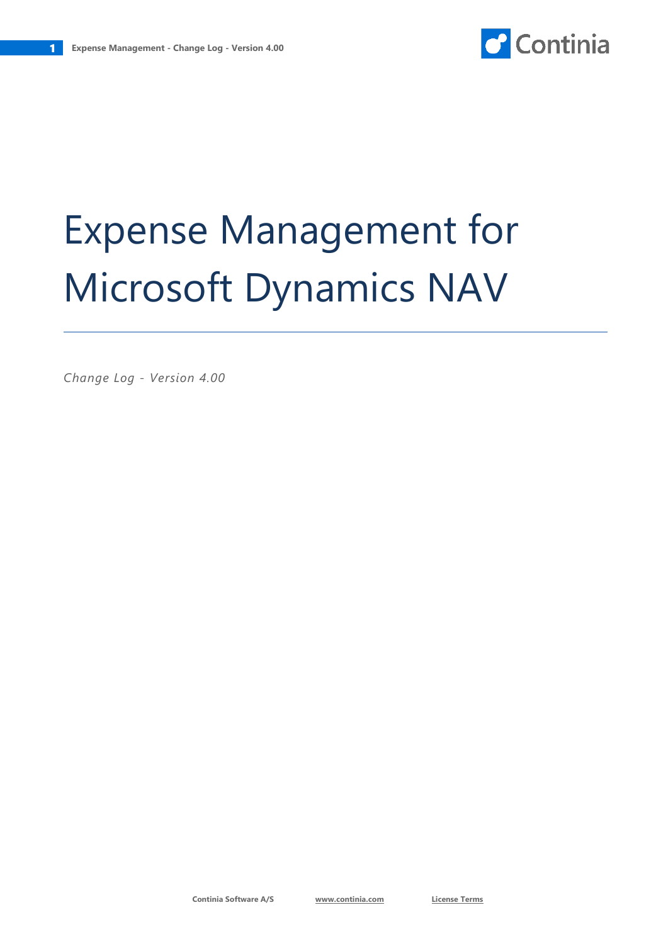# Expense Management for Microsoft Dynamics NAV

*Change Log - Version 4.00*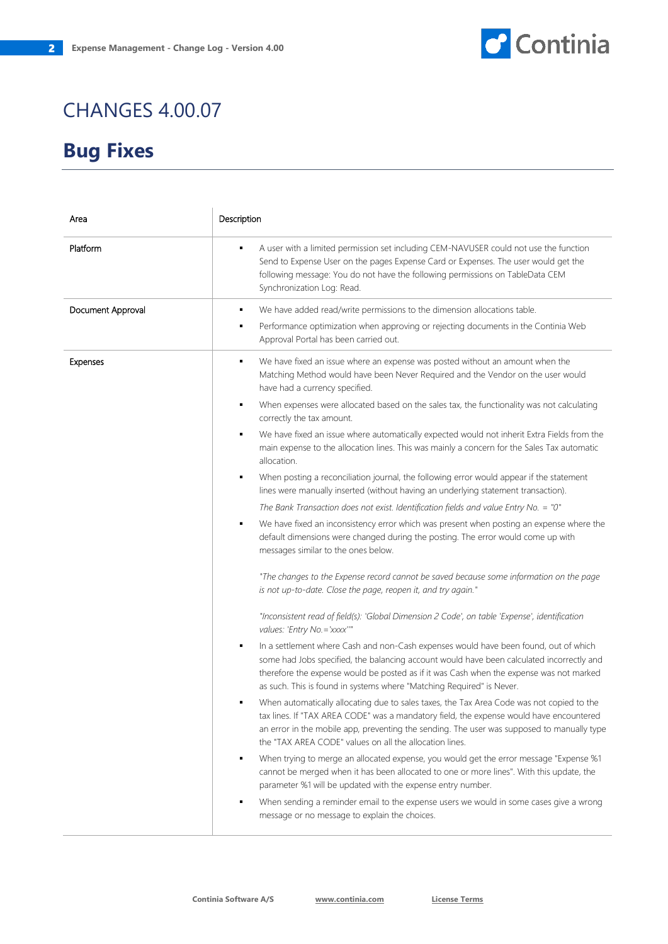

| Area              | Description                                                                                                                                                                                                                                                                                                                                                                                                                                                                                                                                                                                                                                                                                                                                                                                                                                                                                                                                                                                                                                                                                                                                                                                                                                                                                                                                                                                                                                                                                                                                                  |
|-------------------|--------------------------------------------------------------------------------------------------------------------------------------------------------------------------------------------------------------------------------------------------------------------------------------------------------------------------------------------------------------------------------------------------------------------------------------------------------------------------------------------------------------------------------------------------------------------------------------------------------------------------------------------------------------------------------------------------------------------------------------------------------------------------------------------------------------------------------------------------------------------------------------------------------------------------------------------------------------------------------------------------------------------------------------------------------------------------------------------------------------------------------------------------------------------------------------------------------------------------------------------------------------------------------------------------------------------------------------------------------------------------------------------------------------------------------------------------------------------------------------------------------------------------------------------------------------|
| Platform          | A user with a limited permission set including CEM-NAVUSER could not use the function<br>٠<br>Send to Expense User on the pages Expense Card or Expenses. The user would get the<br>following message: You do not have the following permissions on TableData CEM<br>Synchronization Log: Read.                                                                                                                                                                                                                                                                                                                                                                                                                                                                                                                                                                                                                                                                                                                                                                                                                                                                                                                                                                                                                                                                                                                                                                                                                                                              |
| Document Approval | We have added read/write permissions to the dimension allocations table.<br>٠<br>Performance optimization when approving or rejecting documents in the Continia Web<br>٠<br>Approval Portal has been carried out.                                                                                                                                                                                                                                                                                                                                                                                                                                                                                                                                                                                                                                                                                                                                                                                                                                                                                                                                                                                                                                                                                                                                                                                                                                                                                                                                            |
| Expenses          | We have fixed an issue where an expense was posted without an amount when the<br>٠<br>Matching Method would have been Never Required and the Vendor on the user would<br>have had a currency specified.<br>When expenses were allocated based on the sales tax, the functionality was not calculating<br>٠<br>correctly the tax amount.<br>We have fixed an issue where automatically expected would not inherit Extra Fields from the<br>٠<br>main expense to the allocation lines. This was mainly a concern for the Sales Tax automatic<br>allocation.<br>When posting a reconciliation journal, the following error would appear if the statement<br>٠<br>lines were manually inserted (without having an underlying statement transaction).<br>The Bank Transaction does not exist. Identification fields and value Entry No. = "0"<br>We have fixed an inconsistency error which was present when posting an expense where the<br>٠<br>default dimensions were changed during the posting. The error would come up with<br>messages similar to the ones below.<br>"The changes to the Expense record cannot be saved because some information on the page<br>is not up-to-date. Close the page, reopen it, and try again."<br>"Inconsistent read of field(s): 'Global Dimension 2 Code', on table 'Expense', identification<br>values: 'Entry No. = 'xxxx'""<br>In a settlement where Cash and non-Cash expenses would have been found, out of which<br>٠<br>some had Jobs specified, the balancing account would have been calculated incorrectly and |
|                   | therefore the expense would be posted as if it was Cash when the expense was not marked<br>as such. This is found in systems where "Matching Required" is Never.<br>When automatically allocating due to sales taxes, the Tax Area Code was not copied to the<br>٠<br>tax lines. If "TAX AREA CODE" was a mandatory field, the expense would have encountered<br>an error in the mobile app, preventing the sending. The user was supposed to manually type<br>the "TAX AREA CODE" values on all the allocation lines.<br>When trying to merge an allocated expense, you would get the error message "Expense %1<br>٠<br>cannot be merged when it has been allocated to one or more lines". With this update, the<br>parameter %1 will be updated with the expense entry number.<br>When sending a reminder email to the expense users we would in some cases give a wrong<br>message or no message to explain the choices.                                                                                                                                                                                                                                                                                                                                                                                                                                                                                                                                                                                                                                  |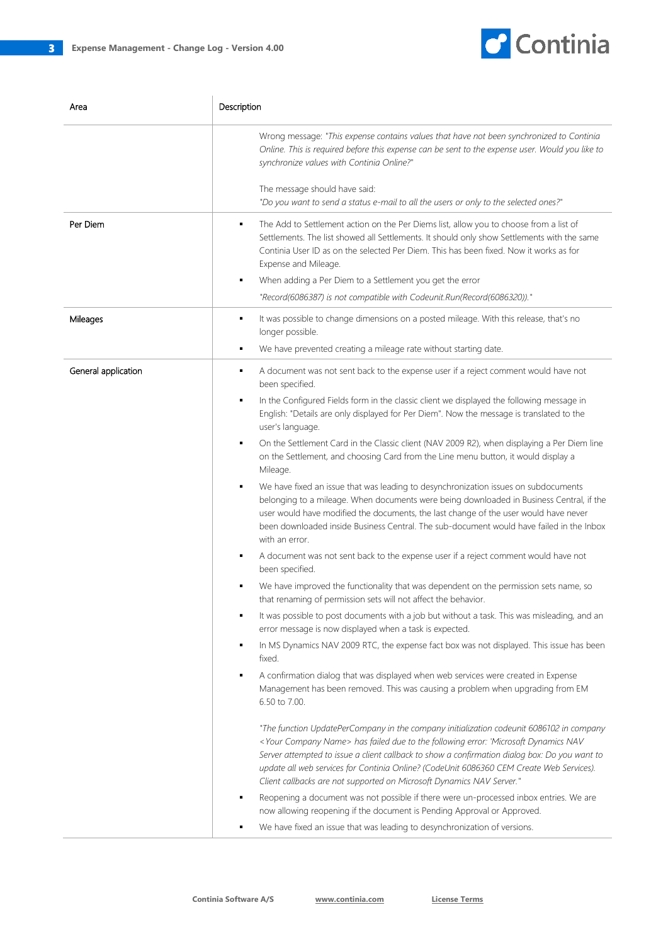

| Area                | Description                                                                                                                                                                                                                                                                                                                                                                                                                                              |
|---------------------|----------------------------------------------------------------------------------------------------------------------------------------------------------------------------------------------------------------------------------------------------------------------------------------------------------------------------------------------------------------------------------------------------------------------------------------------------------|
|                     | Wrong message: "This expense contains values that have not been synchronized to Continia<br>Online. This is required before this expense can be sent to the expense user. Would you like to<br>synchronize values with Continia Online?"                                                                                                                                                                                                                 |
|                     | The message should have said:<br>"Do you want to send a status e-mail to all the users or only to the selected ones?"                                                                                                                                                                                                                                                                                                                                    |
| Per Diem            | The Add to Settlement action on the Per Diems list, allow you to choose from a list of<br>٠<br>Settlements. The list showed all Settlements. It should only show Settlements with the same<br>Continia User ID as on the selected Per Diem. This has been fixed. Now it works as for<br>Expense and Mileage.<br>When adding a Per Diem to a Settlement you get the error<br>٠<br>"Record(6086387) is not compatible with Codeunit.Run(Record(6086320))." |
| Mileages            | It was possible to change dimensions on a posted mileage. With this release, that's no<br>٠<br>longer possible.<br>We have prevented creating a mileage rate without starting date.<br>٠                                                                                                                                                                                                                                                                 |
| General application | A document was not sent back to the expense user if a reject comment would have not<br>٠<br>been specified.                                                                                                                                                                                                                                                                                                                                              |
|                     | In the Configured Fields form in the classic client we displayed the following message in<br>٠<br>English: "Details are only displayed for Per Diem". Now the message is translated to the<br>user's language.                                                                                                                                                                                                                                           |
|                     | On the Settlement Card in the Classic client (NAV 2009 R2), when displaying a Per Diem line<br>on the Settlement, and choosing Card from the Line menu button, it would display a<br>Mileage.                                                                                                                                                                                                                                                            |
|                     | We have fixed an issue that was leading to desynchronization issues on subdocuments<br>belonging to a mileage. When documents were being downloaded in Business Central, if the<br>user would have modified the documents, the last change of the user would have never<br>been downloaded inside Business Central. The sub-document would have failed in the Inbox<br>with an error.                                                                    |
|                     | A document was not sent back to the expense user if a reject comment would have not<br>٠<br>been specified.                                                                                                                                                                                                                                                                                                                                              |
|                     | We have improved the functionality that was dependent on the permission sets name, so<br>that renaming of permission sets will not affect the behavior.                                                                                                                                                                                                                                                                                                  |
|                     | It was possible to post documents with a job but without a task. This was misleading, and an<br>٠<br>error message is now displayed when a task is expected.                                                                                                                                                                                                                                                                                             |
|                     | In MS Dynamics NAV 2009 RTC, the expense fact box was not displayed. This issue has been<br>٠<br>fixed.                                                                                                                                                                                                                                                                                                                                                  |
|                     | A confirmation dialog that was displayed when web services were created in Expense<br>٠<br>Management has been removed. This was causing a problem when upgrading from EM<br>6.50 to 7.00.                                                                                                                                                                                                                                                               |
|                     | "The function UpdatePerCompany in the company initialization codeunit 6086102 in company<br>< Your Company Name> has failed due to the following error: 'Microsoft Dynamics NAV<br>Server attempted to issue a client callback to show a confirmation dialog box: Do you want to<br>update all web services for Continia Online? (CodeUnit 6086360 CEM Create Web Services).<br>Client callbacks are not supported on Microsoft Dynamics NAV Server."    |
|                     | Reopening a document was not possible if there were un-processed inbox entries. We are<br>٠<br>now allowing reopening if the document is Pending Approval or Approved.<br>We have fixed an issue that was leading to desynchronization of versions.                                                                                                                                                                                                      |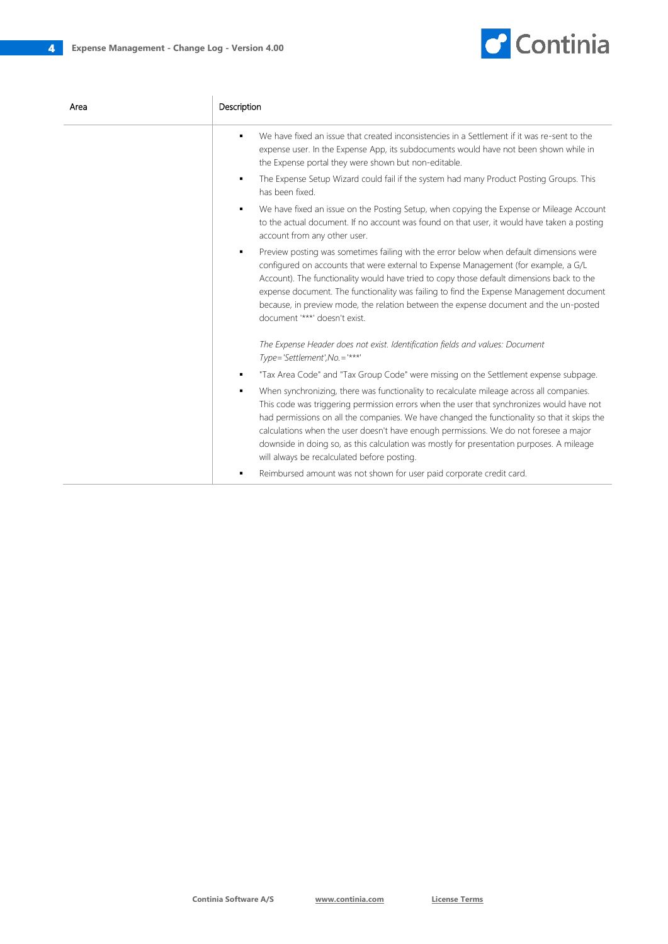

| Area | Description                                                                                                                                                                                                                                                                                                                                                                                                                                                                                                                     |
|------|---------------------------------------------------------------------------------------------------------------------------------------------------------------------------------------------------------------------------------------------------------------------------------------------------------------------------------------------------------------------------------------------------------------------------------------------------------------------------------------------------------------------------------|
|      | We have fixed an issue that created inconsistencies in a Settlement if it was re-sent to the<br>$\blacksquare$<br>expense user. In the Expense App, its subdocuments would have not been shown while in<br>the Expense portal they were shown but non-editable.                                                                                                                                                                                                                                                                 |
|      | The Expense Setup Wizard could fail if the system had many Product Posting Groups. This<br>٠<br>has been fixed.                                                                                                                                                                                                                                                                                                                                                                                                                 |
|      | We have fixed an issue on the Posting Setup, when copying the Expense or Mileage Account<br>٠<br>to the actual document. If no account was found on that user, it would have taken a posting<br>account from any other user.                                                                                                                                                                                                                                                                                                    |
|      | Preview posting was sometimes failing with the error below when default dimensions were<br>٠<br>configured on accounts that were external to Expense Management (for example, a G/L<br>Account). The functionality would have tried to copy those default dimensions back to the<br>expense document. The functionality was failing to find the Expense Management document<br>because, in preview mode, the relation between the expense document and the un-posted<br>document '***' doesn't exist.                           |
|      | The Expense Header does not exist. Identification fields and values: Document<br>Type='Settlement', No. ='***'                                                                                                                                                                                                                                                                                                                                                                                                                  |
|      | "Tax Area Code" and "Tax Group Code" were missing on the Settlement expense subpage.<br>٠                                                                                                                                                                                                                                                                                                                                                                                                                                       |
|      | When synchronizing, there was functionality to recalculate mileage across all companies.<br>٠<br>This code was triggering permission errors when the user that synchronizes would have not<br>had permissions on all the companies. We have changed the functionality so that it skips the<br>calculations when the user doesn't have enough permissions. We do not foresee a major<br>downside in doing so, as this calculation was mostly for presentation purposes. A mileage<br>will always be recalculated before posting. |
|      | Reimbursed amount was not shown for user paid corporate credit card.<br>٠                                                                                                                                                                                                                                                                                                                                                                                                                                                       |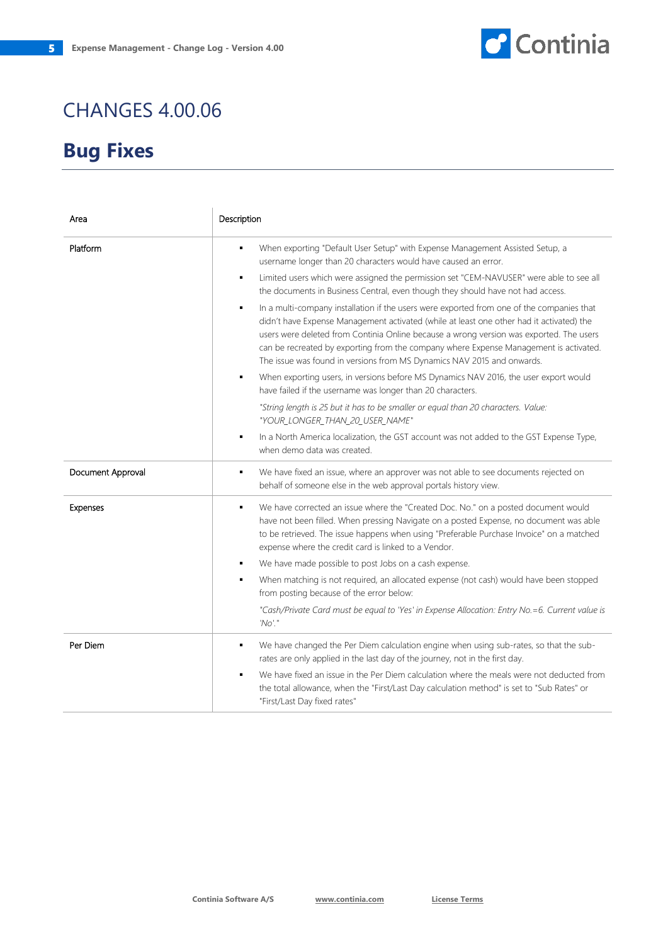

| Area              | Description                                                                                                                                                                                                                                                                                                                                                                                                                                              |
|-------------------|----------------------------------------------------------------------------------------------------------------------------------------------------------------------------------------------------------------------------------------------------------------------------------------------------------------------------------------------------------------------------------------------------------------------------------------------------------|
| Platform          | When exporting "Default User Setup" with Expense Management Assisted Setup, a<br>٠<br>username longer than 20 characters would have caused an error.                                                                                                                                                                                                                                                                                                     |
|                   | Limited users which were assigned the permission set "CEM-NAVUSER" were able to see all<br>٠<br>the documents in Business Central, even though they should have not had access.                                                                                                                                                                                                                                                                          |
|                   | In a multi-company installation if the users were exported from one of the companies that<br>٠<br>didn't have Expense Management activated (while at least one other had it activated) the<br>users were deleted from Continia Online because a wrong version was exported. The users<br>can be recreated by exporting from the company where Expense Management is activated.<br>The issue was found in versions from MS Dynamics NAV 2015 and onwards. |
|                   | When exporting users, in versions before MS Dynamics NAV 2016, the user export would<br>٠<br>have failed if the username was longer than 20 characters.                                                                                                                                                                                                                                                                                                  |
|                   | "String length is 25 but it has to be smaller or equal than 20 characters. Value:<br>"YOUR_LONGER_THAN_20_USER_NAME"                                                                                                                                                                                                                                                                                                                                     |
|                   | In a North America localization, the GST account was not added to the GST Expense Type,<br>when demo data was created.                                                                                                                                                                                                                                                                                                                                   |
| Document Approval | We have fixed an issue, where an approver was not able to see documents rejected on<br>٠<br>behalf of someone else in the web approval portals history view.                                                                                                                                                                                                                                                                                             |
| Expenses          | We have corrected an issue where the "Created Doc. No." on a posted document would<br>٠<br>have not been filled. When pressing Navigate on a posted Expense, no document was able<br>to be retrieved. The issue happens when using "Preferable Purchase Invoice" on a matched<br>expense where the credit card is linked to a Vendor.                                                                                                                    |
|                   | We have made possible to post Jobs on a cash expense.<br>٠                                                                                                                                                                                                                                                                                                                                                                                               |
|                   | When matching is not required, an allocated expense (not cash) would have been stopped<br>٠<br>from posting because of the error below:                                                                                                                                                                                                                                                                                                                  |
|                   | "Cash/Private Card must be equal to 'Yes' in Expense Allocation: Entry No.=6. Current value is<br>'No'."                                                                                                                                                                                                                                                                                                                                                 |
| Per Diem          | We have changed the Per Diem calculation engine when using sub-rates, so that the sub-<br>٠<br>rates are only applied in the last day of the journey, not in the first day.                                                                                                                                                                                                                                                                              |
|                   | We have fixed an issue in the Per Diem calculation where the meals were not deducted from<br>٠<br>the total allowance, when the "First/Last Day calculation method" is set to "Sub Rates" or<br>"First/Last Day fixed rates"                                                                                                                                                                                                                             |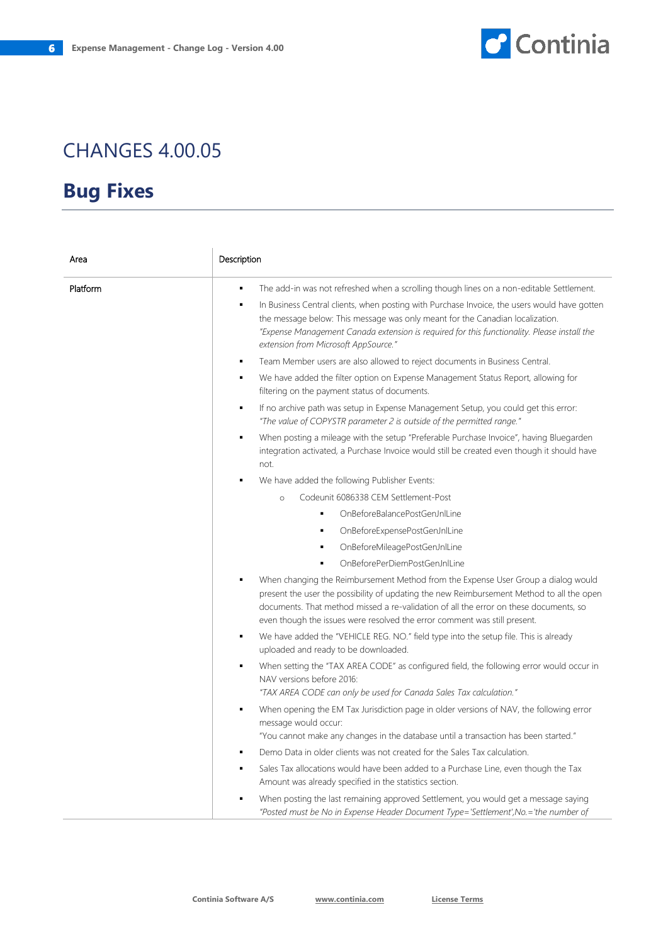

| Area     | Description                                                                                                                                                                                                                                                                                                                                               |
|----------|-----------------------------------------------------------------------------------------------------------------------------------------------------------------------------------------------------------------------------------------------------------------------------------------------------------------------------------------------------------|
| Platform | The add-in was not refreshed when a scrolling though lines on a non-editable Settlement.<br>$\blacksquare$                                                                                                                                                                                                                                                |
|          | In Business Central clients, when posting with Purchase Invoice, the users would have gotten<br>٠<br>the message below: This message was only meant for the Canadian localization.<br>"Expense Management Canada extension is required for this functionality. Please install the<br>extension from Microsoft AppSource."                                 |
|          | Team Member users are also allowed to reject documents in Business Central.<br>$\blacksquare$                                                                                                                                                                                                                                                             |
|          | We have added the filter option on Expense Management Status Report, allowing for<br>٠<br>filtering on the payment status of documents.                                                                                                                                                                                                                   |
|          | If no archive path was setup in Expense Management Setup, you could get this error:<br>$\blacksquare$<br>"The value of COPYSTR parameter 2 is outside of the permitted range."                                                                                                                                                                            |
|          | When posting a mileage with the setup "Preferable Purchase Invoice", having Bluegarden<br>$\blacksquare$<br>integration activated, a Purchase Invoice would still be created even though it should have<br>not.                                                                                                                                           |
|          | We have added the following Publisher Events:                                                                                                                                                                                                                                                                                                             |
|          | Codeunit 6086338 CEM Settlement-Post<br>$\circ$                                                                                                                                                                                                                                                                                                           |
|          | OnBeforeBalancePostGenJnlLine<br>$\blacksquare$                                                                                                                                                                                                                                                                                                           |
|          | OnBeforeExpensePostGenJnlLine<br>$\blacksquare$                                                                                                                                                                                                                                                                                                           |
|          | OnBeforeMileagePostGenJnlLine<br>٠                                                                                                                                                                                                                                                                                                                        |
|          | OnBeforePerDiemPostGenJnlLine                                                                                                                                                                                                                                                                                                                             |
|          | When changing the Reimbursement Method from the Expense User Group a dialog would<br>٠<br>present the user the possibility of updating the new Reimbursement Method to all the open<br>documents. That method missed a re-validation of all the error on these documents, so<br>even though the issues were resolved the error comment was still present. |
|          | We have added the "VEHICLE REG. NO." field type into the setup file. This is already<br>$\blacksquare$<br>uploaded and ready to be downloaded.                                                                                                                                                                                                            |
|          | When setting the "TAX AREA CODE" as configured field, the following error would occur in<br>٠<br>NAV versions before 2016:<br>"TAX AREA CODE can only be used for Canada Sales Tax calculation."                                                                                                                                                          |
|          | When opening the EM Tax Jurisdiction page in older versions of NAV, the following error<br>٠<br>message would occur:<br>"You cannot make any changes in the database until a transaction has been started."                                                                                                                                               |
|          | Demo Data in older clients was not created for the Sales Tax calculation.<br>٠                                                                                                                                                                                                                                                                            |
|          | Sales Tax allocations would have been added to a Purchase Line, even though the Tax<br>Amount was already specified in the statistics section.                                                                                                                                                                                                            |
|          | When posting the last remaining approved Settlement, you would get a message saying<br>"Posted must be No in Expense Header Document Type='Settlement', No.='the number of                                                                                                                                                                                |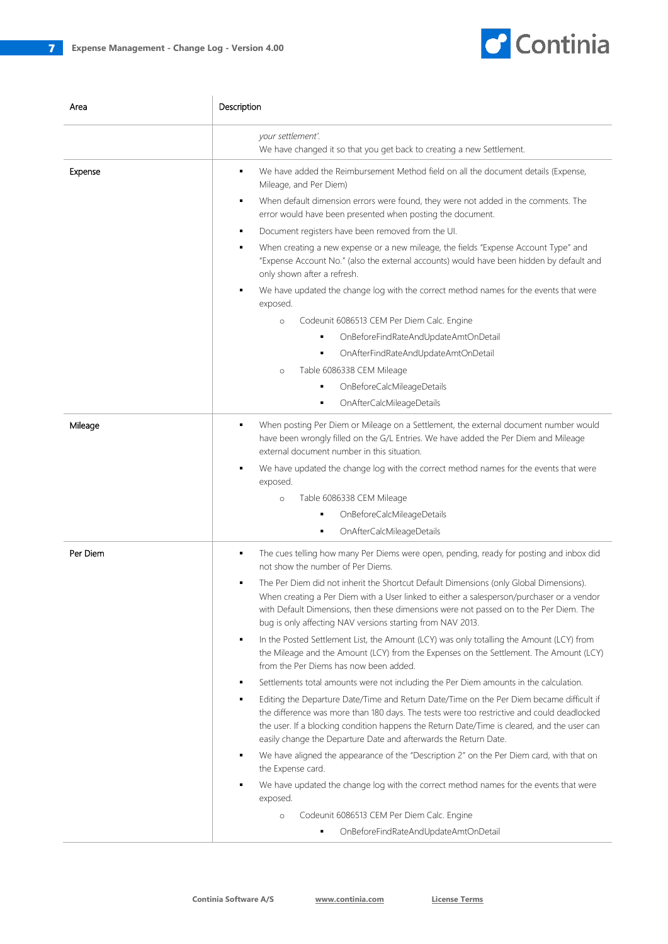

| Area     | Description                                                                                                                                                                                                                                                                                                                                                                                                                                                                                                                                                                                                                                                                                                                                                                                                                                                                                                                                                                                                                                                                                                                                                                                                                                                                                                                                                                                                                                                                                                       |
|----------|-------------------------------------------------------------------------------------------------------------------------------------------------------------------------------------------------------------------------------------------------------------------------------------------------------------------------------------------------------------------------------------------------------------------------------------------------------------------------------------------------------------------------------------------------------------------------------------------------------------------------------------------------------------------------------------------------------------------------------------------------------------------------------------------------------------------------------------------------------------------------------------------------------------------------------------------------------------------------------------------------------------------------------------------------------------------------------------------------------------------------------------------------------------------------------------------------------------------------------------------------------------------------------------------------------------------------------------------------------------------------------------------------------------------------------------------------------------------------------------------------------------------|
|          | your settlement'.<br>We have changed it so that you get back to creating a new Settlement.                                                                                                                                                                                                                                                                                                                                                                                                                                                                                                                                                                                                                                                                                                                                                                                                                                                                                                                                                                                                                                                                                                                                                                                                                                                                                                                                                                                                                        |
| Expense  | We have added the Reimbursement Method field on all the document details (Expense,<br>٠<br>Mileage, and Per Diem)<br>When default dimension errors were found, they were not added in the comments. The<br>٠<br>error would have been presented when posting the document.<br>Document registers have been removed from the UI.<br>٠<br>When creating a new expense or a new mileage, the fields "Expense Account Type" and<br>٠<br>"Expense Account No." (also the external accounts) would have been hidden by default and<br>only shown after a refresh.<br>We have updated the change log with the correct method names for the events that were<br>exposed.<br>Codeunit 6086513 CEM Per Diem Calc. Engine<br>$\circ$<br>OnBeforeFindRateAndUpdateAmtOnDetail<br>٠<br>OnAfterFindRateAndUpdateAmtOnDetail<br>٠<br>Table 6086338 CEM Mileage<br>$\circ$<br>OnBeforeCalcMileageDetails<br>OnAfterCalcMileageDetails<br>٠                                                                                                                                                                                                                                                                                                                                                                                                                                                                                                                                                                                        |
| Mileage  | When posting Per Diem or Mileage on a Settlement, the external document number would<br>٠<br>have been wrongly filled on the G/L Entries. We have added the Per Diem and Mileage<br>external document number in this situation.<br>We have updated the change log with the correct method names for the events that were<br>exposed.<br>Table 6086338 CEM Mileage<br>$\circ$<br>OnBeforeCalcMileageDetails<br>OnAfterCalcMileageDetails<br>٠                                                                                                                                                                                                                                                                                                                                                                                                                                                                                                                                                                                                                                                                                                                                                                                                                                                                                                                                                                                                                                                                      |
| Per Diem | The cues telling how many Per Diems were open, pending, ready for posting and inbox did<br>٠<br>not show the number of Per Diems.<br>The Per Diem did not inherit the Shortcut Default Dimensions (only Global Dimensions).<br>٠<br>When creating a Per Diem with a User linked to either a salesperson/purchaser or a vendor<br>with Default Dimensions, then these dimensions were not passed on to the Per Diem. The<br>bug is only affecting NAV versions starting from NAV 2013.<br>In the Posted Settlement List, the Amount (LCY) was only totalling the Amount (LCY) from<br>the Mileage and the Amount (LCY) from the Expenses on the Settlement. The Amount (LCY)<br>from the Per Diems has now been added.<br>Settlements total amounts were not including the Per Diem amounts in the calculation.<br>٠<br>Editing the Departure Date/Time and Return Date/Time on the Per Diem became difficult if<br>٠<br>the difference was more than 180 days. The tests were too restrictive and could deadlocked<br>the user. If a blocking condition happens the Return Date/Time is cleared, and the user can<br>easily change the Departure Date and afterwards the Return Date.<br>We have aligned the appearance of the "Description 2" on the Per Diem card, with that on<br>the Expense card.<br>We have updated the change log with the correct method names for the events that were<br>exposed.<br>Codeunit 6086513 CEM Per Diem Calc. Engine<br>$\circ$<br>OnBeforeFindRateAndUpdateAmtOnDetail<br>٠ |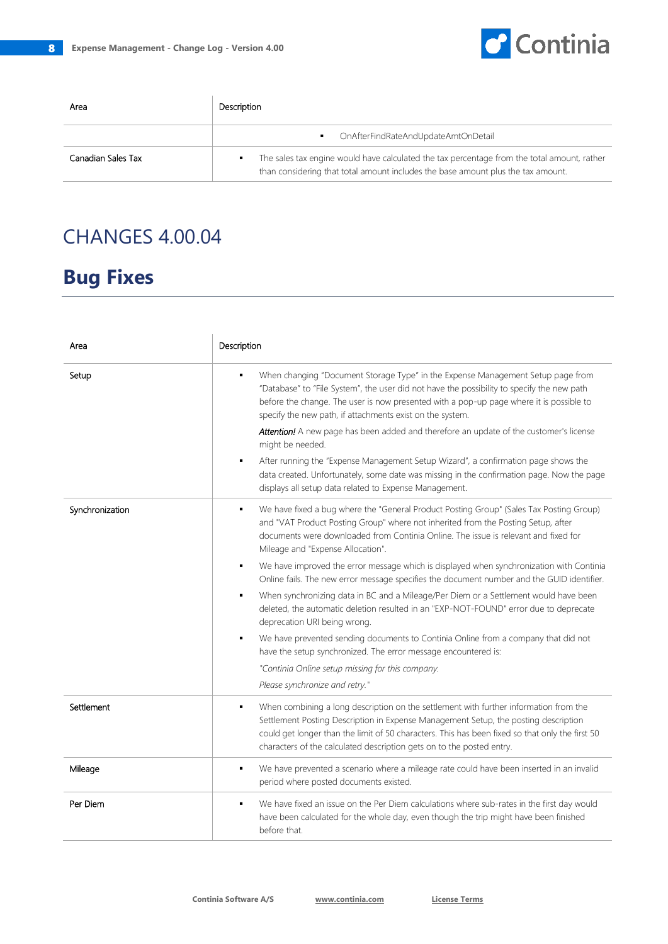

| Area               | Description                                                                                                                                                                          |
|--------------------|--------------------------------------------------------------------------------------------------------------------------------------------------------------------------------------|
|                    | OnAfterFindRateAndUpdateAmtOnDetail                                                                                                                                                  |
| Canadian Sales Tax | The sales tax engine would have calculated the tax percentage from the total amount, rather<br>٠<br>than considering that total amount includes the base amount plus the tax amount. |

| Area            | Description                                                                                                                                                                                                                                                                                                                                                                                                                                         |
|-----------------|-----------------------------------------------------------------------------------------------------------------------------------------------------------------------------------------------------------------------------------------------------------------------------------------------------------------------------------------------------------------------------------------------------------------------------------------------------|
| Setup           | When changing "Document Storage Type" in the Expense Management Setup page from<br>"Database" to "File System", the user did not have the possibility to specify the new path<br>before the change. The user is now presented with a pop-up page where it is possible to<br>specify the new path, if attachments exist on the system.<br>Attention! A new page has been added and therefore an update of the customer's license<br>might be needed. |
|                 | After running the "Expense Management Setup Wizard", a confirmation page shows the<br>٠<br>data created. Unfortunately, some date was missing in the confirmation page. Now the page<br>displays all setup data related to Expense Management.                                                                                                                                                                                                      |
| Synchronization | We have fixed a bug where the "General Product Posting Group" (Sales Tax Posting Group)<br>٠<br>and "VAT Product Posting Group" where not inherited from the Posting Setup, after<br>documents were downloaded from Continia Online. The issue is relevant and fixed for<br>Mileage and "Expense Allocation".                                                                                                                                       |
|                 | We have improved the error message which is displayed when synchronization with Continia<br>Online fails. The new error message specifies the document number and the GUID identifier.                                                                                                                                                                                                                                                              |
|                 | When synchronizing data in BC and a Mileage/Per Diem or a Settlement would have been<br>٠<br>deleted, the automatic deletion resulted in an "EXP-NOT-FOUND" error due to deprecate<br>deprecation URI being wrong.                                                                                                                                                                                                                                  |
|                 | We have prevented sending documents to Continia Online from a company that did not<br>٠<br>have the setup synchronized. The error message encountered is:                                                                                                                                                                                                                                                                                           |
|                 | "Continia Online setup missing for this company.<br>Please synchronize and retry."                                                                                                                                                                                                                                                                                                                                                                  |
| Settlement      | When combining a long description on the settlement with further information from the<br>٠<br>Settlement Posting Description in Expense Management Setup, the posting description<br>could get longer than the limit of 50 characters. This has been fixed so that only the first 50<br>characters of the calculated description gets on to the posted entry.                                                                                       |
| Mileage         | We have prevented a scenario where a mileage rate could have been inserted in an invalid<br>٠<br>period where posted documents existed.                                                                                                                                                                                                                                                                                                             |
| Per Diem        | We have fixed an issue on the Per Diem calculations where sub-rates in the first day would<br>٠<br>have been calculated for the whole day, even though the trip might have been finished<br>before that.                                                                                                                                                                                                                                            |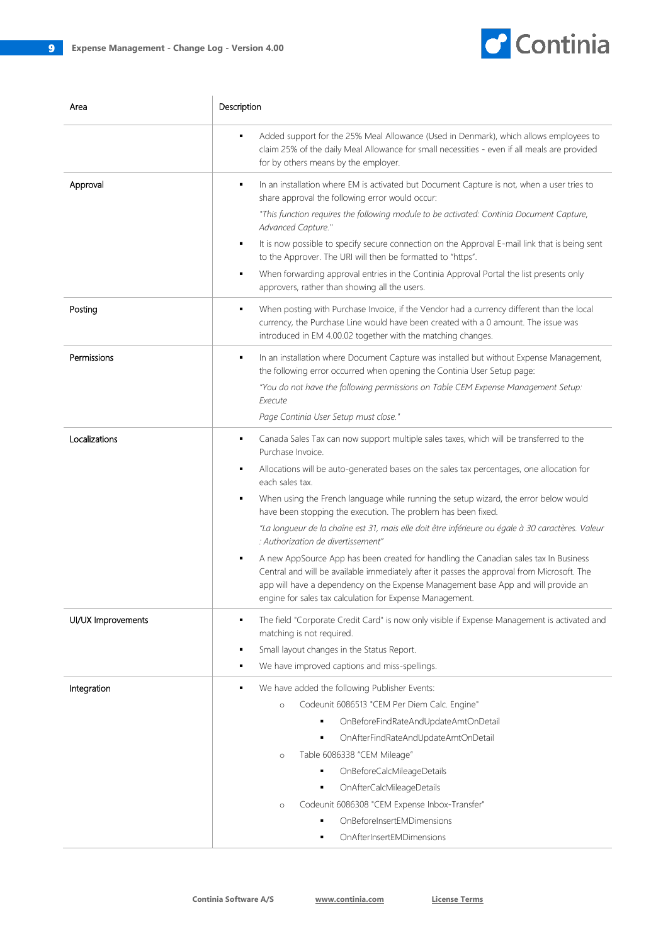

| Area               | Description                                                                                                                                                                                                                                                                                                                              |
|--------------------|------------------------------------------------------------------------------------------------------------------------------------------------------------------------------------------------------------------------------------------------------------------------------------------------------------------------------------------|
|                    | Added support for the 25% Meal Allowance (Used in Denmark), which allows employees to<br>٠<br>claim 25% of the daily Meal Allowance for small necessities - even if all meals are provided<br>for by others means by the employer.                                                                                                       |
| Approval           | In an installation where EM is activated but Document Capture is not, when a user tries to<br>٠<br>share approval the following error would occur:                                                                                                                                                                                       |
|                    | "This function requires the following module to be activated: Continia Document Capture,                                                                                                                                                                                                                                                 |
|                    | Advanced Capture."<br>It is now possible to specify secure connection on the Approval E-mail link that is being sent<br>٠<br>to the Approver. The URI will then be formatted to "https".                                                                                                                                                 |
|                    | When forwarding approval entries in the Continia Approval Portal the list presents only<br>٠<br>approvers, rather than showing all the users.                                                                                                                                                                                            |
| Posting            | When posting with Purchase Invoice, if the Vendor had a currency different than the local<br>٠<br>currency, the Purchase Line would have been created with a 0 amount. The issue was<br>introduced in EM 4.00.02 together with the matching changes.                                                                                     |
| Permissions        | In an installation where Document Capture was installed but without Expense Management,<br>٠<br>the following error occurred when opening the Continia User Setup page:                                                                                                                                                                  |
|                    | "You do not have the following permissions on Table CEM Expense Management Setup:<br>Execute                                                                                                                                                                                                                                             |
|                    | Page Continia User Setup must close."                                                                                                                                                                                                                                                                                                    |
| Localizations      | Canada Sales Tax can now support multiple sales taxes, which will be transferred to the<br>٠<br>Purchase Invoice.                                                                                                                                                                                                                        |
|                    | Allocations will be auto-generated bases on the sales tax percentages, one allocation for<br>٠<br>each sales tax.                                                                                                                                                                                                                        |
|                    | When using the French language while running the setup wizard, the error below would<br>٠<br>have been stopping the execution. The problem has been fixed.                                                                                                                                                                               |
|                    | "La longueur de la chaîne est 31, mais elle doit être inférieure ou égale à 30 caractères. Valeur<br>: Authorization de divertissement"                                                                                                                                                                                                  |
|                    | A new AppSource App has been created for handling the Canadian sales tax In Business<br>٠<br>Central and will be available immediately after it passes the approval from Microsoft. The<br>app will have a dependency on the Expense Management base App and will provide an<br>engine for sales tax calculation for Expense Management. |
| UI/UX Improvements | The field "Corporate Credit Card" is now only visible if Expense Management is activated and<br>٠<br>matching is not required.                                                                                                                                                                                                           |
|                    | Small layout changes in the Status Report.<br>٠                                                                                                                                                                                                                                                                                          |
|                    | We have improved captions and miss-spellings.<br>٠                                                                                                                                                                                                                                                                                       |
| Integration        | We have added the following Publisher Events:<br>٠                                                                                                                                                                                                                                                                                       |
|                    | Codeunit 6086513 "CEM Per Diem Calc. Engine"<br>$\circ$                                                                                                                                                                                                                                                                                  |
|                    | OnBeforeFindRateAndUpdateAmtOnDetail<br>٠                                                                                                                                                                                                                                                                                                |
|                    | OnAfterFindRateAndUpdateAmtOnDetail                                                                                                                                                                                                                                                                                                      |
|                    | Table 6086338 "CEM Mileage"<br>$\circ$                                                                                                                                                                                                                                                                                                   |
|                    | OnBeforeCalcMileageDetails                                                                                                                                                                                                                                                                                                               |
|                    | OnAfterCalcMileageDetails<br>٠                                                                                                                                                                                                                                                                                                           |
|                    | Codeunit 6086308 "CEM Expense Inbox-Transfer"<br>$\circ$                                                                                                                                                                                                                                                                                 |
|                    | OnBeforeInsertEMDimensions<br>٠                                                                                                                                                                                                                                                                                                          |
|                    | OnAfterInsertEMDimensions<br>٠                                                                                                                                                                                                                                                                                                           |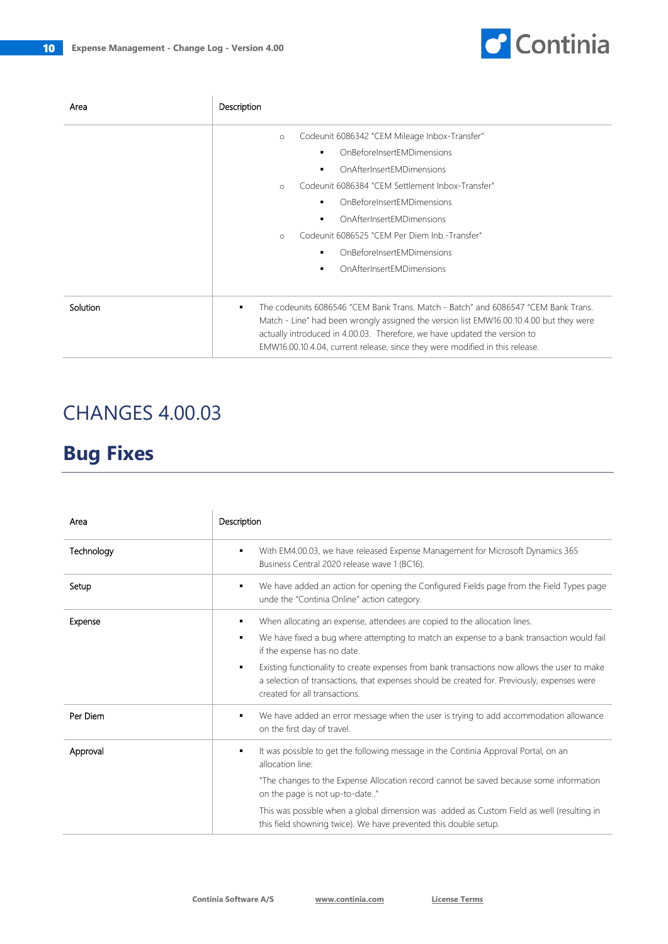

| Area     | Description                                                                                                                                                                                                                                                                                                                                     |
|----------|-------------------------------------------------------------------------------------------------------------------------------------------------------------------------------------------------------------------------------------------------------------------------------------------------------------------------------------------------|
|          | Codeunit 6086342 "CEM Mileage Inbox-Transfer"<br>$\circ$                                                                                                                                                                                                                                                                                        |
|          | OnBeforeInsertEMDimensions                                                                                                                                                                                                                                                                                                                      |
|          | OnAfterInsertFMDimensions                                                                                                                                                                                                                                                                                                                       |
|          | Codeunit 6086384 "CEM Settlement Inbox-Transfer"<br>$\circ$                                                                                                                                                                                                                                                                                     |
|          | OnBeforeInsertEMDimensions                                                                                                                                                                                                                                                                                                                      |
|          | OnAfterInsertEMDimensions                                                                                                                                                                                                                                                                                                                       |
|          | Codeunit 6086525 "CEM Per Diem Inb.-Transfer"<br>$\circ$                                                                                                                                                                                                                                                                                        |
|          | <b>OnBeforeInsertFMDimensions</b>                                                                                                                                                                                                                                                                                                               |
|          | OnAfterInsertFMDimensions<br>٠                                                                                                                                                                                                                                                                                                                  |
|          |                                                                                                                                                                                                                                                                                                                                                 |
| Solution | The codeunits 6086546 "CEM Bank Trans. Match - Batch" and 6086547 "CEM Bank Trans.<br>٠<br>Match - Line" had been wrongly assigned the version list EMW16.00.10.4.00 but they were<br>actually introduced in 4.00.03. Therefore, we have updated the version to<br>EMW16.00.10.4.04, current release, since they were modified in this release. |

| Area       | Description                                                                                                                                                                                                                                                                                                                                                                                                                                          |
|------------|------------------------------------------------------------------------------------------------------------------------------------------------------------------------------------------------------------------------------------------------------------------------------------------------------------------------------------------------------------------------------------------------------------------------------------------------------|
| Technology | With EM4.00.03, we have released Expense Management for Microsoft Dynamics 365<br>٠<br>Business Central 2020 release wave 1 (BC16).                                                                                                                                                                                                                                                                                                                  |
| Setup      | We have added an action for opening the Configured Fields page from the Field Types page<br>٠<br>unde the "Continia Online" action category.                                                                                                                                                                                                                                                                                                         |
| Expense    | When allocating an expense, attendees are copied to the allocation lines.<br>٠<br>We have fixed a bug where attempting to match an expense to a bank transaction would fail<br>٠<br>if the expense has no date.<br>Existing functionality to create expenses from bank transactions now allows the user to make<br>٠<br>a selection of transactions, that expenses should be created for. Previously, expenses were<br>created for all transactions. |
| Per Diem   | We have added an error message when the user is trying to add accommodation allowance<br>٠<br>on the first day of travel.                                                                                                                                                                                                                                                                                                                            |
| Approval   | It was possible to get the following message in the Continia Approval Portal, on an<br>٠<br>allocation line:<br>"The changes to the Expense Allocation record cannot be saved because some information<br>on the page is not up-to-date"<br>This was possible when a global dimension was added as Custom Field as well (resulting in<br>this field showning twice). We have prevented this double setup.                                            |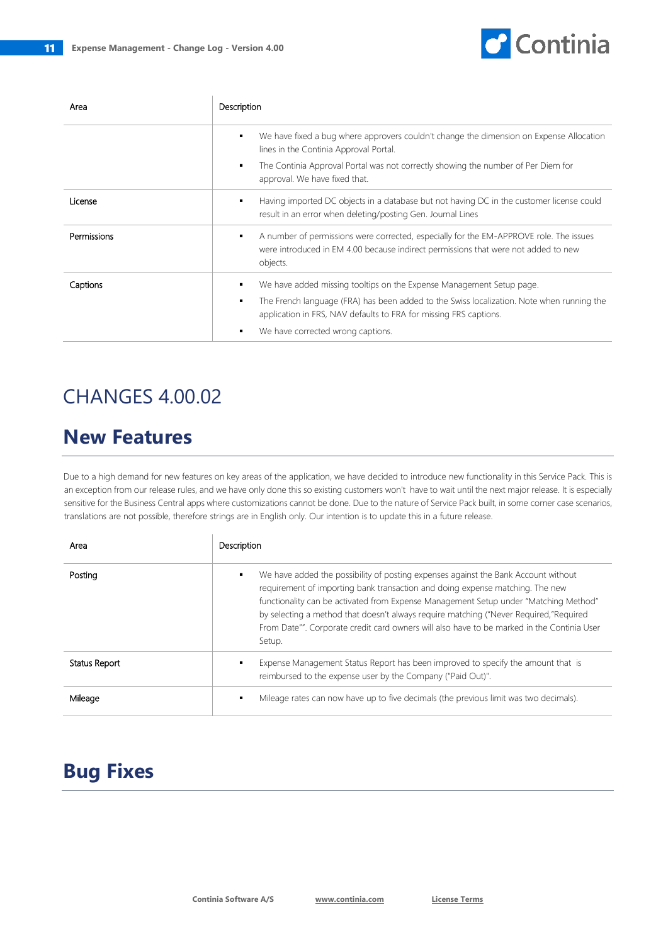$\overline{1}$ 



| Area        | Description                                                                                                                                                                                                                                                                                |
|-------------|--------------------------------------------------------------------------------------------------------------------------------------------------------------------------------------------------------------------------------------------------------------------------------------------|
|             | We have fixed a bug where approvers couldn't change the dimension on Expense Allocation<br>٠<br>lines in the Continia Approval Portal.<br>The Continia Approval Portal was not correctly showing the number of Per Diem for<br>٠<br>approval. We have fixed that.                          |
| License     | Having imported DC objects in a database but not having DC in the customer license could<br>٠<br>result in an error when deleting/posting Gen. Journal Lines                                                                                                                               |
| Permissions | A number of permissions were corrected, especially for the EM-APPROVE role. The issues<br>٠<br>were introduced in EM 4.00 because indirect permissions that were not added to new<br>objects.                                                                                              |
| Captions    | We have added missing tooltips on the Expense Management Setup page.<br>٠<br>The French language (FRA) has been added to the Swiss localization. Note when running the<br>٠<br>application in FRS, NAV defaults to FRA for missing FRS captions.<br>We have corrected wrong captions.<br>٠ |

## CHANGES 4.00.02

## **New Features**

Due to a high demand for new features on key areas of the application, we have decided to introduce new functionality in this Service Pack. This is an exception from our release rules, and we have only done this so existing customers won't have to wait until the next major release. It is especially sensitive for the Business Central apps where customizations cannot be done. Due to the nature of Service Pack built, in some corner case scenarios, translations are not possible, therefore strings are in English only. Our intention is to update this in a future release.

| Area          | Description                                                                                                                                                                                                                                                                                                                                                                                                                                                       |
|---------------|-------------------------------------------------------------------------------------------------------------------------------------------------------------------------------------------------------------------------------------------------------------------------------------------------------------------------------------------------------------------------------------------------------------------------------------------------------------------|
| Posting       | We have added the possibility of posting expenses against the Bank Account without<br>٠<br>requirement of importing bank transaction and doing expense matching. The new<br>functionality can be activated from Expense Management Setup under "Matching Method"<br>by selecting a method that doesn't always require matching ("Never Required,"Required<br>From Date"". Corporate credit card owners will also have to be marked in the Continia User<br>Setup. |
| Status Report | Expense Management Status Report has been improved to specify the amount that is<br>reimbursed to the expense user by the Company ("Paid Out)".                                                                                                                                                                                                                                                                                                                   |
| Mileage       | Mileage rates can now have up to five decimals (the previous limit was two decimals).<br>٠                                                                                                                                                                                                                                                                                                                                                                        |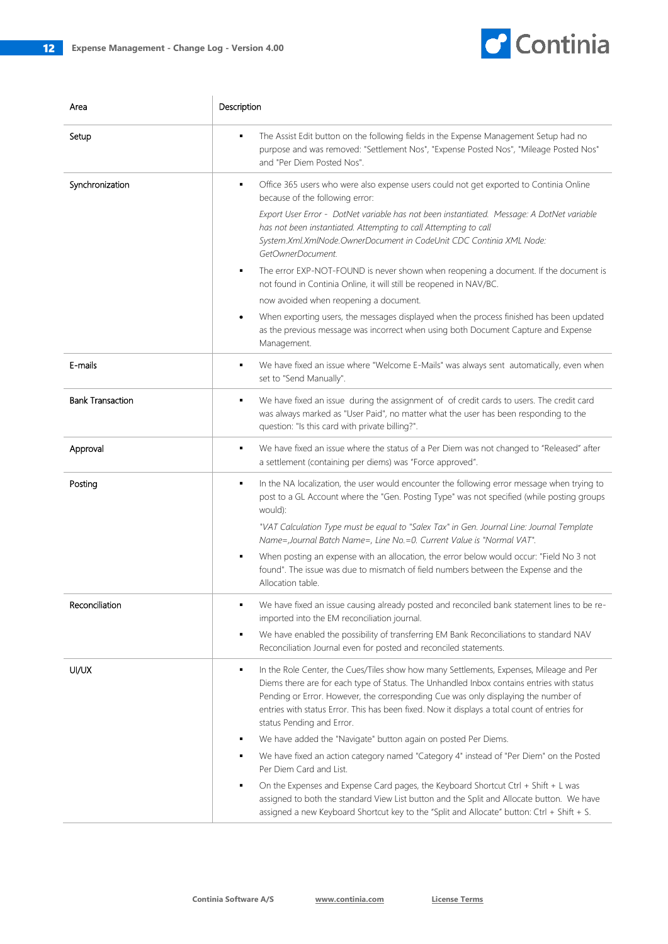

| Area                    | Description                                                                                                                                                                                                                                                                                                                                                                                                  |
|-------------------------|--------------------------------------------------------------------------------------------------------------------------------------------------------------------------------------------------------------------------------------------------------------------------------------------------------------------------------------------------------------------------------------------------------------|
| Setup                   | The Assist Edit button on the following fields in the Expense Management Setup had no<br>purpose and was removed: "Settlement Nos", "Expense Posted Nos", "Mileage Posted Nos"<br>and "Per Diem Posted Nos".                                                                                                                                                                                                 |
| Synchronization         | Office 365 users who were also expense users could not get exported to Continia Online<br>٠<br>because of the following error:                                                                                                                                                                                                                                                                               |
|                         | Export User Error - DotNet variable has not been instantiated. Message: A DotNet variable<br>has not been instantiated. Attempting to call Attempting to call<br>System.Xml.XmlNode.OwnerDocument in CodeUnit CDC Continia XML Node:<br>GetOwnerDocument.                                                                                                                                                    |
|                         | The error EXP-NOT-FOUND is never shown when reopening a document. If the document is<br>٠<br>not found in Continia Online, it will still be reopened in NAV/BC.                                                                                                                                                                                                                                              |
|                         | now avoided when reopening a document.                                                                                                                                                                                                                                                                                                                                                                       |
|                         | When exporting users, the messages displayed when the process finished has been updated<br>as the previous message was incorrect when using both Document Capture and Expense<br>Management.                                                                                                                                                                                                                 |
| E-mails                 | We have fixed an issue where "Welcome E-Mails" was always sent automatically, even when<br>٠<br>set to "Send Manually".                                                                                                                                                                                                                                                                                      |
| <b>Bank Transaction</b> | We have fixed an issue during the assignment of of credit cards to users. The credit card<br>٠<br>was always marked as "User Paid", no matter what the user has been responding to the<br>question: "Is this card with private billing?".                                                                                                                                                                    |
| Approval                | We have fixed an issue where the status of a Per Diem was not changed to "Released" after<br>٠<br>a settlement (containing per diems) was "Force approved".                                                                                                                                                                                                                                                  |
| Posting                 | In the NA localization, the user would encounter the following error message when trying to<br>٠<br>post to a GL Account where the "Gen. Posting Type" was not specified (while posting groups<br>would):                                                                                                                                                                                                    |
|                         | "VAT Calculation Type must be equal to "Salex Tax" in Gen. Journal Line: Journal Template<br>Name=, Journal Batch Name=, Line No. = 0. Current Value is "Normal VAT".                                                                                                                                                                                                                                        |
|                         | When posting an expense with an allocation, the error below would occur: "Field No 3 not<br>found". The issue was due to mismatch of field numbers between the Expense and the<br>Allocation table.                                                                                                                                                                                                          |
| Reconciliation          | We have fixed an issue causing already posted and reconciled bank statement lines to be re-<br>imported into the EM reconciliation journal.                                                                                                                                                                                                                                                                  |
|                         | We have enabled the possibility of transferring EM Bank Reconciliations to standard NAV<br>Reconciliation Journal even for posted and reconciled statements.                                                                                                                                                                                                                                                 |
| UI/UX                   | In the Role Center, the Cues/Tiles show how many Settlements, Expenses, Mileage and Per<br>٠<br>Diems there are for each type of Status. The Unhandled Inbox contains entries with status<br>Pending or Error. However, the corresponding Cue was only displaying the number of<br>entries with status Error. This has been fixed. Now it displays a total count of entries for<br>status Pending and Error. |
|                         | We have added the "Navigate" button again on posted Per Diems.<br>٠                                                                                                                                                                                                                                                                                                                                          |
|                         | We have fixed an action category named "Category 4" instead of "Per Diem" on the Posted<br>٠<br>Per Diem Card and List.                                                                                                                                                                                                                                                                                      |
|                         | On the Expenses and Expense Card pages, the Keyboard Shortcut Ctrl + Shift + L was<br>assigned to both the standard View List button and the Split and Allocate button. We have<br>assigned a new Keyboard Shortcut key to the "Split and Allocate" button: Ctrl + Shift + S.                                                                                                                                |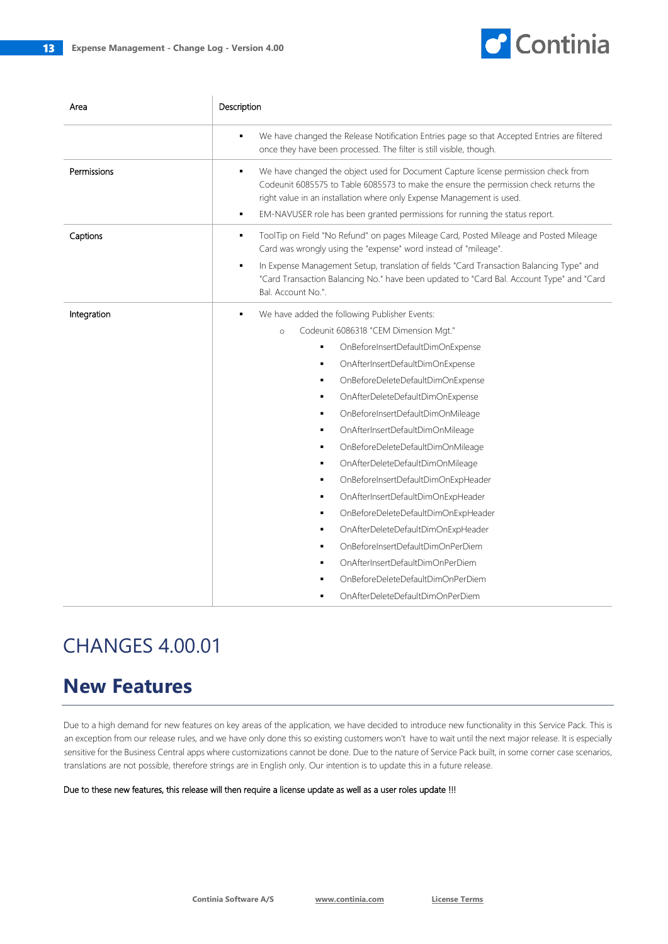$\overline{\phantom{a}}$ 



| Area        | Description                                                                                                                                                                                                                                                                                                                                                                                                                                                                                                                                                                                                                                                                                                                                                                                          |
|-------------|------------------------------------------------------------------------------------------------------------------------------------------------------------------------------------------------------------------------------------------------------------------------------------------------------------------------------------------------------------------------------------------------------------------------------------------------------------------------------------------------------------------------------------------------------------------------------------------------------------------------------------------------------------------------------------------------------------------------------------------------------------------------------------------------------|
|             | We have changed the Release Notification Entries page so that Accepted Entries are filtered<br>once they have been processed. The filter is still visible, though.                                                                                                                                                                                                                                                                                                                                                                                                                                                                                                                                                                                                                                   |
| Permissions | We have changed the object used for Document Capture license permission check from<br>٠<br>Codeunit 6085575 to Table 6085573 to make the ensure the permission check returns the<br>right value in an installation where only Expense Management is used.<br>EM-NAVUSER role has been granted permissions for running the status report.<br>٠                                                                                                                                                                                                                                                                                                                                                                                                                                                        |
| Captions    | ToolTip on Field "No Refund" on pages Mileage Card, Posted Mileage and Posted Mileage<br>٠<br>Card was wrongly using the "expense" word instead of "mileage".<br>In Expense Management Setup, translation of fields "Card Transaction Balancing Type" and<br>"Card Transaction Balancing No." have been updated to "Card Bal. Account Type" and "Card<br>Bal. Account No.".                                                                                                                                                                                                                                                                                                                                                                                                                          |
| Integration | We have added the following Publisher Events:<br>٠<br>Codeunit 6086318 "CEM Dimension Mgt."<br>$\circ$<br>OnBeforeInsertDefaultDimOnExpense<br>OnAfterInsertDefaultDimOnExpense<br>٠<br>OnBeforeDeleteDefaultDimOnExpense<br>٠<br>OnAfterDeleteDefaultDimOnExpense<br>٠<br>OnBeforeInsertDefaultDimOnMileage<br>٠<br>OnAfterInsertDefaultDimOnMileage<br>٠<br>OnBeforeDeleteDefaultDimOnMileage<br>٠<br>OnAfterDeleteDefaultDimOnMileage<br>٠<br>OnBeforeInsertDefaultDimOnExpHeader<br>٠<br>OnAfterInsertDefaultDimOnExpHeader<br>٠<br>OnBeforeDeleteDefaultDimOnExpHeader<br>٠<br>OnAfterDeleteDefaultDimOnExpHeader<br>٠<br>OnBeforeInsertDefaultDimOnPerDiem<br>٠<br>OnAfterInsertDefaultDimOnPerDiem<br>$\blacksquare$<br>OnBeforeDeleteDefaultDimOnPerDiem<br>OnAfterDeleteDefaultDimOnPerDiem |

# CHANGES 4.00.01

## **New Features**

Due to a high demand for new features on key areas of the application, we have decided to introduce new functionality in this Service Pack. This is an exception from our release rules, and we have only done this so existing customers won't have to wait until the next major release. It is especially sensitive for the Business Central apps where customizations cannot be done. Due to the nature of Service Pack built, in some corner case scenarios, translations are not possible, therefore strings are in English only. Our intention is to update this in a future release.

Due to these new features, this release will then require a license update as well as a user roles update !!!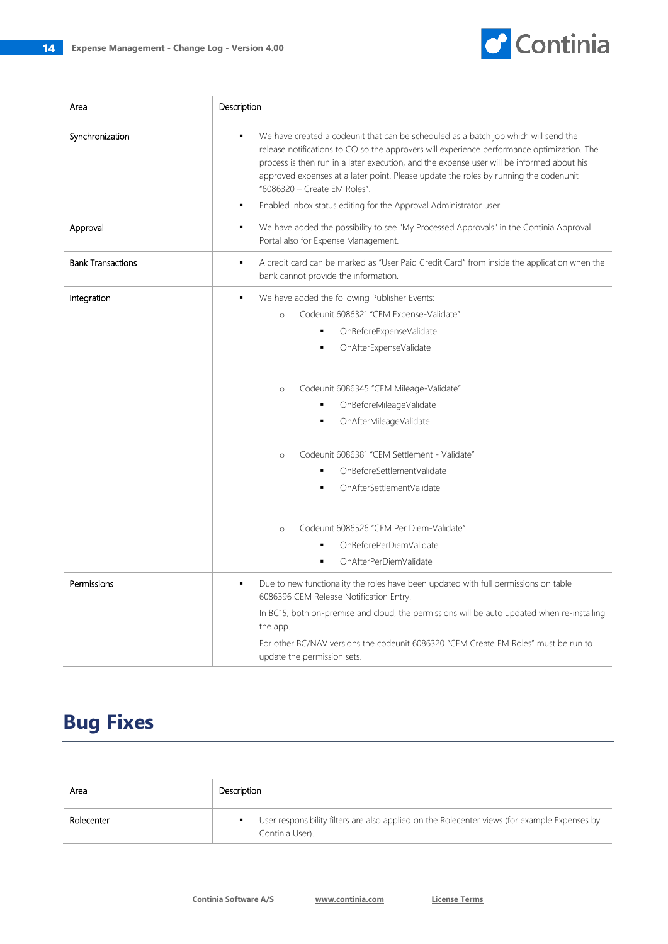

| Area                     | Description                                                                                                                                                                                                                                                                                                                                                                                                                                                                           |
|--------------------------|---------------------------------------------------------------------------------------------------------------------------------------------------------------------------------------------------------------------------------------------------------------------------------------------------------------------------------------------------------------------------------------------------------------------------------------------------------------------------------------|
| Synchronization          | We have created a codeunit that can be scheduled as a batch job which will send the<br>٠<br>release notifications to CO so the approvers will experience performance optimization. The<br>process is then run in a later execution, and the expense user will be informed about his<br>approved expenses at a later point. Please update the roles by running the codenunit<br>"6086320 - Create EM Roles".<br>Enabled Inbox status editing for the Approval Administrator user.<br>٠ |
| Approval                 | We have added the possibility to see "My Processed Approvals" in the Continia Approval<br>٠<br>Portal also for Expense Management.                                                                                                                                                                                                                                                                                                                                                    |
| <b>Bank Transactions</b> | A credit card can be marked as "User Paid Credit Card" from inside the application when the<br>$\blacksquare$<br>bank cannot provide the information.                                                                                                                                                                                                                                                                                                                                 |
| Integration              | We have added the following Publisher Events:<br>$\blacksquare$                                                                                                                                                                                                                                                                                                                                                                                                                       |
|                          | Codeunit 6086321 "CEM Expense-Validate"<br>$\circ$                                                                                                                                                                                                                                                                                                                                                                                                                                    |
|                          | OnBeforeExpenseValidate                                                                                                                                                                                                                                                                                                                                                                                                                                                               |
|                          | OnAfterExpenseValidate<br>٠                                                                                                                                                                                                                                                                                                                                                                                                                                                           |
|                          | Codeunit 6086345 "CEM Mileage-Validate"<br>$\circ$                                                                                                                                                                                                                                                                                                                                                                                                                                    |
|                          | OnBeforeMileageValidate                                                                                                                                                                                                                                                                                                                                                                                                                                                               |
|                          | OnAfterMileageValidate                                                                                                                                                                                                                                                                                                                                                                                                                                                                |
|                          | Codeunit 6086381 "CEM Settlement - Validate"<br>$\circ$                                                                                                                                                                                                                                                                                                                                                                                                                               |
|                          | OnBeforeSettlementValidate                                                                                                                                                                                                                                                                                                                                                                                                                                                            |
|                          | OnAfterSettlementValidate<br>٠                                                                                                                                                                                                                                                                                                                                                                                                                                                        |
|                          | Codeunit 6086526 "CEM Per Diem-Validate"<br>$\circ$                                                                                                                                                                                                                                                                                                                                                                                                                                   |
|                          | OnBeforePerDiemValidate<br>٠                                                                                                                                                                                                                                                                                                                                                                                                                                                          |
|                          | OnAfterPerDiemValidate<br>$\blacksquare$                                                                                                                                                                                                                                                                                                                                                                                                                                              |
| Permissions              | Due to new functionality the roles have been updated with full permissions on table<br>6086396 CEM Release Notification Entry.                                                                                                                                                                                                                                                                                                                                                        |
|                          | In BC15, both on-premise and cloud, the permissions will be auto updated when re-installing<br>the app.                                                                                                                                                                                                                                                                                                                                                                               |
|                          | For other BC/NAV versions the codeunit 6086320 "CEM Create EM Roles" must be run to<br>update the permission sets.                                                                                                                                                                                                                                                                                                                                                                    |

| Area       | Description                                                                                                      |
|------------|------------------------------------------------------------------------------------------------------------------|
| Rolecenter | User responsibility filters are also applied on the Rolecenter views (for example Expenses by<br>Continia User). |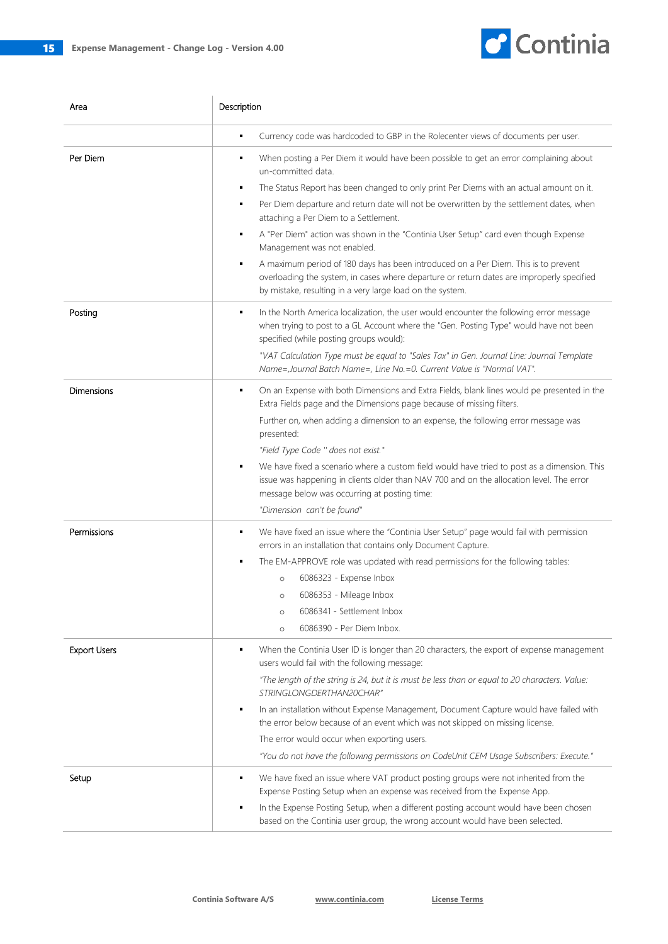

| Area                | Description                                                                                                                                                                                                                                                                                                                                                                                                                                                                                                                                                                                                                                                                                                                 |
|---------------------|-----------------------------------------------------------------------------------------------------------------------------------------------------------------------------------------------------------------------------------------------------------------------------------------------------------------------------------------------------------------------------------------------------------------------------------------------------------------------------------------------------------------------------------------------------------------------------------------------------------------------------------------------------------------------------------------------------------------------------|
|                     | Currency code was hardcoded to GBP in the Rolecenter views of documents per user.<br>٠                                                                                                                                                                                                                                                                                                                                                                                                                                                                                                                                                                                                                                      |
| Per Diem            | When posting a Per Diem it would have been possible to get an error complaining about<br>un-committed data.<br>The Status Report has been changed to only print Per Diems with an actual amount on it.<br>٠<br>Per Diem departure and return date will not be overwritten by the settlement dates, when<br>attaching a Per Diem to a Settlement.<br>A "Per Diem" action was shown in the "Continia User Setup" card even though Expense<br>٠<br>Management was not enabled.<br>A maximum period of 180 days has been introduced on a Per Diem. This is to prevent<br>overloading the system, in cases where departure or return dates are improperly specified<br>by mistake, resulting in a very large load on the system. |
| Posting             | In the North America localization, the user would encounter the following error message<br>٠<br>when trying to post to a GL Account where the "Gen. Posting Type" would have not been<br>specified (while posting groups would):<br>"VAT Calculation Type must be equal to "Sales Tax" in Gen. Journal Line: Journal Template<br>Name=, Journal Batch Name=, Line No. = 0. Current Value is "Normal VAT".                                                                                                                                                                                                                                                                                                                   |
| Dimensions          | On an Expense with both Dimensions and Extra Fields, blank lines would pe presented in the<br>٠<br>Extra Fields page and the Dimensions page because of missing filters.<br>Further on, when adding a dimension to an expense, the following error message was<br>presented:<br>"Field Type Code " does not exist."<br>We have fixed a scenario where a custom field would have tried to post as a dimension. This<br>issue was happening in clients older than NAV 700 and on the allocation level. The error<br>message below was occurring at posting time:<br>"Dimension can't be found"                                                                                                                                |
| Permissions         | We have fixed an issue where the "Continia User Setup" page would fail with permission<br>٠<br>errors in an installation that contains only Document Capture.<br>The EM-APPROVE role was updated with read permissions for the following tables:<br>6086323 - Expense Inbox<br>$\circ$<br>6086353 - Mileage Inbox<br>$\circ$<br>6086341 - Settlement Inbox<br>$\circ$<br>6086390 - Per Diem Inbox.<br>$\circ$                                                                                                                                                                                                                                                                                                               |
| <b>Export Users</b> | When the Continia User ID is longer than 20 characters, the export of expense management<br>users would fail with the following message:<br>"The length of the string is 24, but it is must be less than or equal to 20 characters. Value:<br>STRINGLONGDERTHAN20CHAR"<br>In an installation without Expense Management, Document Capture would have failed with<br>the error below because of an event which was not skipped on missing license.<br>The error would occur when exporting users.<br>"You do not have the following permissions on CodeUnit CEM Usage Subscribers: Execute."                                                                                                                                 |
| Setup               | We have fixed an issue where VAT product posting groups were not inherited from the<br>Expense Posting Setup when an expense was received from the Expense App.<br>In the Expense Posting Setup, when a different posting account would have been chosen<br>based on the Continia user group, the wrong account would have been selected.                                                                                                                                                                                                                                                                                                                                                                                   |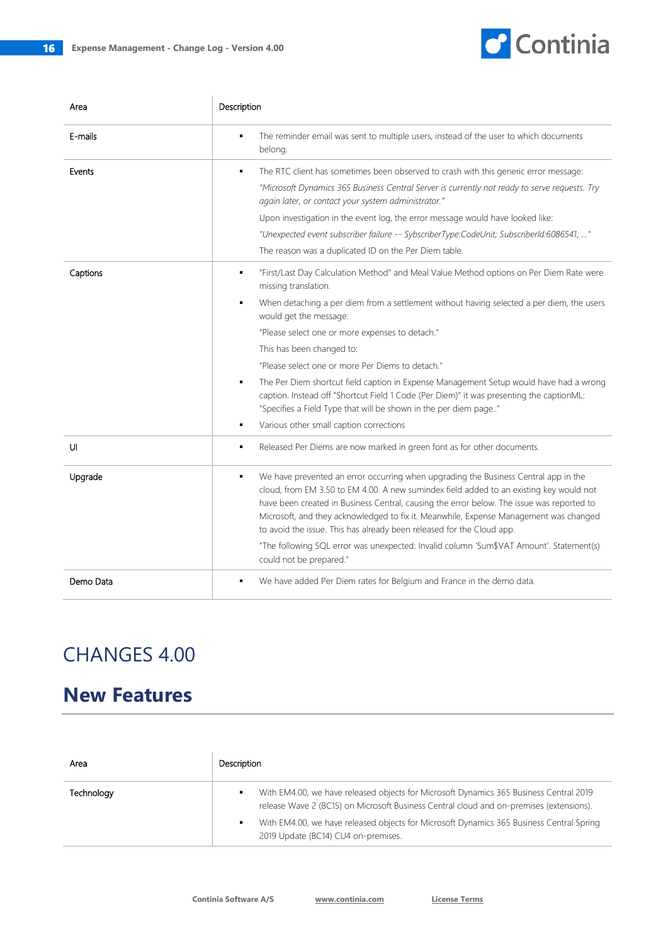

| Area      | Description                                                                                                                                                                                                                                                                                                                                                                                                                                                                                                                                   |
|-----------|-----------------------------------------------------------------------------------------------------------------------------------------------------------------------------------------------------------------------------------------------------------------------------------------------------------------------------------------------------------------------------------------------------------------------------------------------------------------------------------------------------------------------------------------------|
| E-mails   | The reminder email was sent to multiple users, instead of the user to which documents<br>belong.                                                                                                                                                                                                                                                                                                                                                                                                                                              |
| Events    | The RTC client has sometimes been observed to crash with this generic error message:<br>٠<br>"Microsoft Dynamics 365 Business Central Server is currently not ready to serve requests. Try<br>again later, or contact your system administrator."                                                                                                                                                                                                                                                                                             |
|           | Upon investigation in the event log, the error message would have looked like:                                                                                                                                                                                                                                                                                                                                                                                                                                                                |
|           | "Unexpected event subscriber failure -- SybscriberType:CodeUnit; SubscriberId:6086541; "                                                                                                                                                                                                                                                                                                                                                                                                                                                      |
|           | The reason was a duplicated ID on the Per Diem table.                                                                                                                                                                                                                                                                                                                                                                                                                                                                                         |
| Captions  | "First/Last Day Calculation Method" and Meal Value Method options on Per Diem Rate were<br>٠<br>missing translation.                                                                                                                                                                                                                                                                                                                                                                                                                          |
|           | When detaching a per diem from a settlement without having selected a per diem, the users<br>٠<br>would get the message:                                                                                                                                                                                                                                                                                                                                                                                                                      |
|           | "Please select one or more expenses to detach."                                                                                                                                                                                                                                                                                                                                                                                                                                                                                               |
|           | This has been changed to:                                                                                                                                                                                                                                                                                                                                                                                                                                                                                                                     |
|           | "Please select one or more Per Diems to detach."                                                                                                                                                                                                                                                                                                                                                                                                                                                                                              |
|           | The Per Diem shortcut field caption in Expense Management Setup would have had a wrong<br>٠<br>caption. Instead off "Shortcut Field 1 Code (Per Diem)" it was presenting the captionML:<br>"Specifies a Field Type that will be shown in the per diem page"                                                                                                                                                                                                                                                                                   |
|           | Various other small caption corrections<br>٠                                                                                                                                                                                                                                                                                                                                                                                                                                                                                                  |
| UI        | Released Per Diems are now marked in green font as for other documents.<br>٠                                                                                                                                                                                                                                                                                                                                                                                                                                                                  |
| Upgrade   | We have prevented an error occurring when upgrading the Business Central app in the<br>٠<br>cloud, from EM 3.50 to EM 4.00. A new sumindex field added to an existing key would not<br>have been created in Business Central, causing the error below. The issue was reported to<br>Microsoft, and they acknowledged to fix it. Meanwhile, Expense Management was changed<br>to avoid the issue. This has already been released for the Cloud app.<br>"The following SQL error was unexpected: Invalid column 'Sum\$VAT Amount'. Statement(s) |
|           | could not be prepared."                                                                                                                                                                                                                                                                                                                                                                                                                                                                                                                       |
| Demo Data | We have added Per Diem rates for Belgium and France in the demo data.                                                                                                                                                                                                                                                                                                                                                                                                                                                                         |

## CHANGES 4.00

## **New Features**

| Area       | Description                                                                                                                                                                                                                                                                                                          |
|------------|----------------------------------------------------------------------------------------------------------------------------------------------------------------------------------------------------------------------------------------------------------------------------------------------------------------------|
| Technoloav | With EM4.00, we have released objects for Microsoft Dynamics 365 Business Central 2019<br>release Wave 2 (BC15) on Microsoft Business Central cloud and on-premises (extensions).<br>With EM4.00, we have released objects for Microsoft Dynamics 365 Business Central Spring<br>2019 Update (BC14) CU4 on-premises. |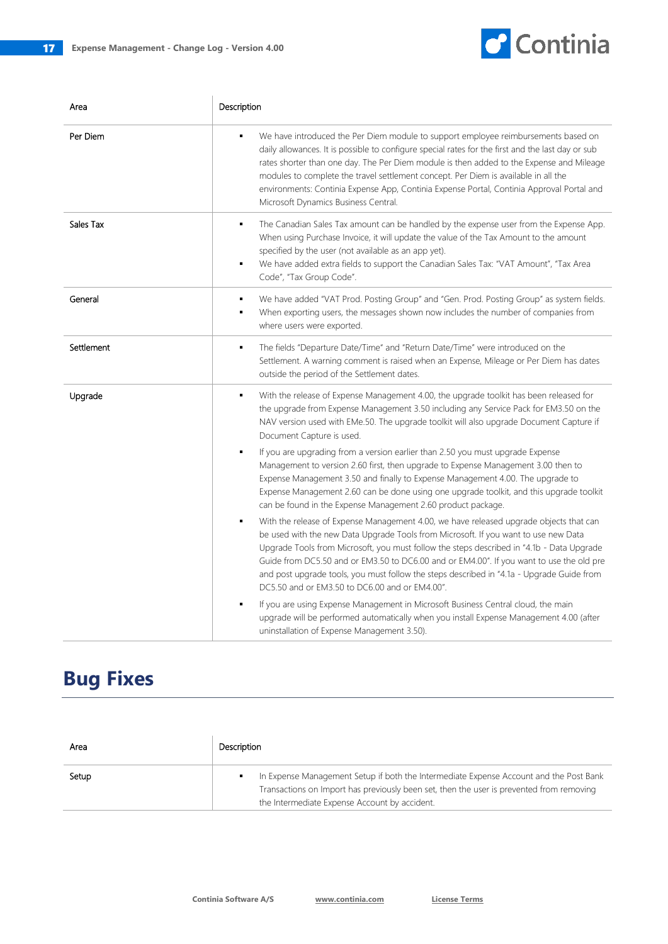

| Area       | Description                                                                                                                                                                                                                                                                                                                                                                                                                                                                                                                                                                |
|------------|----------------------------------------------------------------------------------------------------------------------------------------------------------------------------------------------------------------------------------------------------------------------------------------------------------------------------------------------------------------------------------------------------------------------------------------------------------------------------------------------------------------------------------------------------------------------------|
| Per Diem   | We have introduced the Per Diem module to support employee reimbursements based on<br>$\blacksquare$<br>daily allowances. It is possible to configure special rates for the first and the last day or sub<br>rates shorter than one day. The Per Diem module is then added to the Expense and Mileage<br>modules to complete the travel settlement concept. Per Diem is available in all the<br>environments: Continia Expense App, Continia Expense Portal, Continia Approval Portal and<br>Microsoft Dynamics Business Central.                                          |
| Sales Tax  | The Canadian Sales Tax amount can be handled by the expense user from the Expense App.<br>$\blacksquare$<br>When using Purchase Invoice, it will update the value of the Tax Amount to the amount<br>specified by the user (not available as an app yet).<br>We have added extra fields to support the Canadian Sales Tax: "VAT Amount", "Tax Area<br>٠<br>Code", "Tax Group Code".                                                                                                                                                                                        |
| General    | We have added "VAT Prod. Posting Group" and "Gen. Prod. Posting Group" as system fields.<br>٠<br>When exporting users, the messages shown now includes the number of companies from<br>where users were exported.                                                                                                                                                                                                                                                                                                                                                          |
| Settlement | The fields "Departure Date/Time" and "Return Date/Time" were introduced on the<br>٠<br>Settlement. A warning comment is raised when an Expense, Mileage or Per Diem has dates<br>outside the period of the Settlement dates.                                                                                                                                                                                                                                                                                                                                               |
| Upgrade    | With the release of Expense Management 4.00, the upgrade toolkit has been released for<br>٠<br>the upgrade from Expense Management 3.50 including any Service Pack for EM3.50 on the<br>NAV version used with EMe.50. The upgrade toolkit will also upgrade Document Capture if<br>Document Capture is used.<br>If you are upgrading from a version earlier than 2.50 you must upgrade Expense<br>٠<br>Management to version 2.60 first, then upgrade to Expense Management 3.00 then to<br>Expense Management 3.50 and finally to Expense Management 4.00. The upgrade to |
|            | Expense Management 2.60 can be done using one upgrade toolkit, and this upgrade toolkit<br>can be found in the Expense Management 2.60 product package.                                                                                                                                                                                                                                                                                                                                                                                                                    |
|            | With the release of Expense Management 4.00, we have released upgrade objects that can<br>$\blacksquare$<br>be used with the new Data Upgrade Tools from Microsoft. If you want to use new Data<br>Upgrade Tools from Microsoft, you must follow the steps described in "4.1b - Data Upgrade<br>Guide from DC5.50 and or EM3.50 to DC6.00 and or EM4.00". If you want to use the old pre<br>and post upgrade tools, you must follow the steps described in "4.1a - Upgrade Guide from<br>DC5.50 and or EM3.50 to DC6.00 and or EM4.00".                                    |
|            | If you are using Expense Management in Microsoft Business Central cloud, the main<br>٠<br>upgrade will be performed automatically when you install Expense Management 4.00 (after<br>uninstallation of Expense Management 3.50).                                                                                                                                                                                                                                                                                                                                           |

| Area  | Description                                                                                                                                                                                                                              |
|-------|------------------------------------------------------------------------------------------------------------------------------------------------------------------------------------------------------------------------------------------|
| Setup | In Expense Management Setup if both the Intermediate Expense Account and the Post Bank<br>٠<br>Transactions on Import has previously been set, then the user is prevented from removing<br>the Intermediate Expense Account by accident. |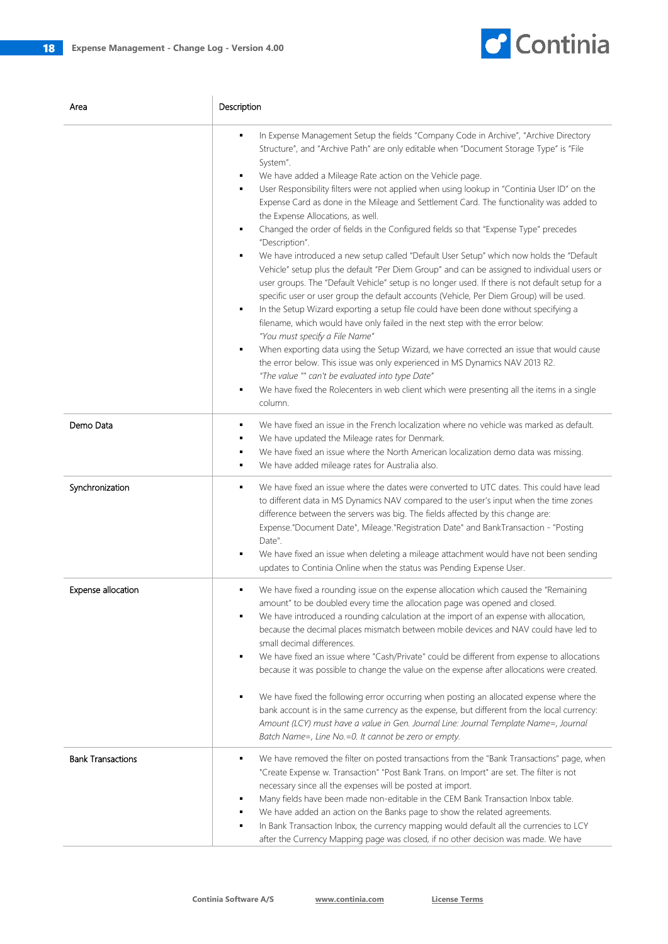

| Area                      | Description                                                                                                                                                                                                                                                                                                                                                                                                                                                                                                                                                                                                                                                                                                                                                                                                                                                                                                                                                                                                                                                                                                                                                                                                                                                                                                                                                                                                                                                                                                                                                                     |
|---------------------------|---------------------------------------------------------------------------------------------------------------------------------------------------------------------------------------------------------------------------------------------------------------------------------------------------------------------------------------------------------------------------------------------------------------------------------------------------------------------------------------------------------------------------------------------------------------------------------------------------------------------------------------------------------------------------------------------------------------------------------------------------------------------------------------------------------------------------------------------------------------------------------------------------------------------------------------------------------------------------------------------------------------------------------------------------------------------------------------------------------------------------------------------------------------------------------------------------------------------------------------------------------------------------------------------------------------------------------------------------------------------------------------------------------------------------------------------------------------------------------------------------------------------------------------------------------------------------------|
|                           | In Expense Management Setup the fields "Company Code in Archive", "Archive Directory<br>٠<br>Structure", and "Archive Path" are only editable when "Document Storage Type" is "File<br>System".<br>We have added a Mileage Rate action on the Vehicle page.<br>User Responsibility filters were not applied when using lookup in "Continia User ID" on the<br>٠<br>Expense Card as done in the Mileage and Settlement Card. The functionality was added to<br>the Expense Allocations, as well.<br>Changed the order of fields in the Configured fields so that "Expense Type" precedes<br>٠<br>"Description".<br>We have introduced a new setup called "Default User Setup" which now holds the "Default<br>٠<br>Vehicle" setup plus the default "Per Diem Group" and can be assigned to individual users or<br>user groups. The "Default Vehicle" setup is no longer used. If there is not default setup for a<br>specific user or user group the default accounts (Vehicle, Per Diem Group) will be used.<br>In the Setup Wizard exporting a setup file could have been done without specifying a<br>٠<br>filename, which would have only failed in the next step with the error below:<br>"You must specify a File Name"<br>When exporting data using the Setup Wizard, we have corrected an issue that would cause<br>٠<br>the error below. This issue was only experienced in MS Dynamics NAV 2013 R2.<br>"The value "" can't be evaluated into type Date"<br>We have fixed the Rolecenters in web client which were presenting all the items in a single<br>٠<br>column. |
| Demo Data                 | We have fixed an issue in the French localization where no vehicle was marked as default.<br>٠<br>We have updated the Mileage rates for Denmark.<br>٠<br>We have fixed an issue where the North American localization demo data was missing.<br>٠<br>We have added mileage rates for Australia also.<br>٠                                                                                                                                                                                                                                                                                                                                                                                                                                                                                                                                                                                                                                                                                                                                                                                                                                                                                                                                                                                                                                                                                                                                                                                                                                                                       |
| Synchronization           | We have fixed an issue where the dates were converted to UTC dates. This could have lead<br>٠<br>to different data in MS Dynamics NAV compared to the user's input when the time zones<br>difference between the servers was big. The fields affected by this change are:<br>Expense."Document Date", Mileage."Registration Date" and BankTransaction - "Posting<br>Date".<br>We have fixed an issue when deleting a mileage attachment would have not been sending<br>updates to Continia Online when the status was Pending Expense User.                                                                                                                                                                                                                                                                                                                                                                                                                                                                                                                                                                                                                                                                                                                                                                                                                                                                                                                                                                                                                                     |
| <b>Expense allocation</b> | We have fixed a rounding issue on the expense allocation which caused the "Remaining<br>amount" to be doubled every time the allocation page was opened and closed.<br>We have introduced a rounding calculation at the import of an expense with allocation,<br>because the decimal places mismatch between mobile devices and NAV could have led to<br>small decimal differences.<br>We have fixed an issue where "Cash/Private" could be different from expense to allocations<br>because it was possible to change the value on the expense after allocations were created.<br>We have fixed the following error occurring when posting an allocated expense where the<br>٠<br>bank account is in the same currency as the expense, but different from the local currency:<br>Amount (LCY) must have a value in Gen. Journal Line: Journal Template Name=, Journal<br>Batch Name=, Line No.=0. It cannot be zero or empty.                                                                                                                                                                                                                                                                                                                                                                                                                                                                                                                                                                                                                                                  |
| <b>Bank Transactions</b>  | We have removed the filter on posted transactions from the "Bank Transactions" page, when<br>٠<br>"Create Expense w. Transaction" "Post Bank Trans. on Import" are set. The filter is not<br>necessary since all the expenses will be posted at import.<br>Many fields have been made non-editable in the CEM Bank Transaction Inbox table.<br>We have added an action on the Banks page to show the related agreements.<br>In Bank Transaction Inbox, the currency mapping would default all the currencies to LCY<br>after the Currency Mapping page was closed, if no other decision was made. We have                                                                                                                                                                                                                                                                                                                                                                                                                                                                                                                                                                                                                                                                                                                                                                                                                                                                                                                                                                       |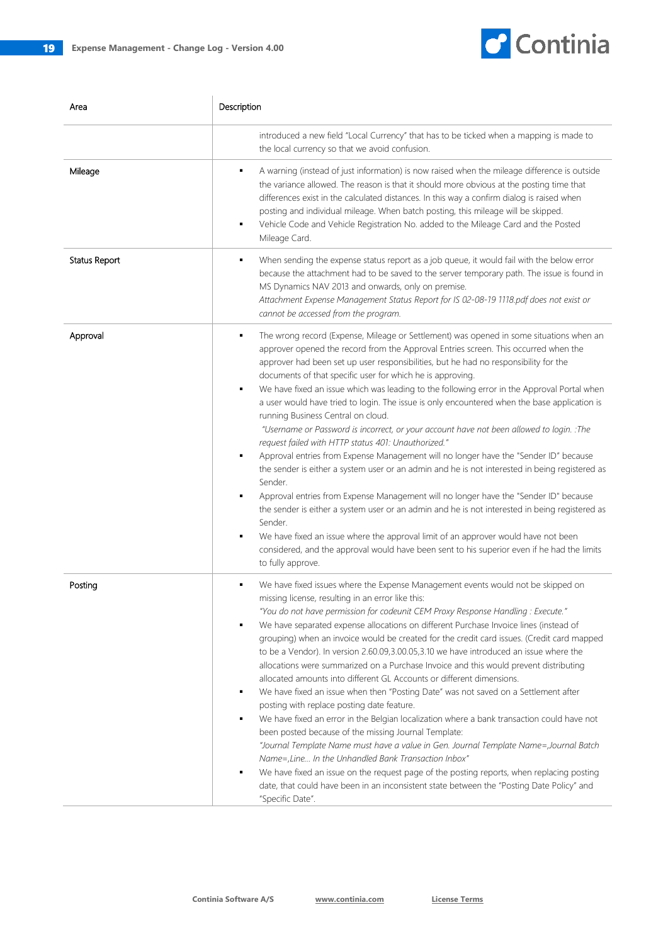

| Area          | Description                                                                                                                                                                                                                                                                                                                                                                                                                                                                                                                                                                                                                                                                                                                                                                                                                                                                                                                                                                                                                                                                                                                                                                                                                                                                                                                                                 |
|---------------|-------------------------------------------------------------------------------------------------------------------------------------------------------------------------------------------------------------------------------------------------------------------------------------------------------------------------------------------------------------------------------------------------------------------------------------------------------------------------------------------------------------------------------------------------------------------------------------------------------------------------------------------------------------------------------------------------------------------------------------------------------------------------------------------------------------------------------------------------------------------------------------------------------------------------------------------------------------------------------------------------------------------------------------------------------------------------------------------------------------------------------------------------------------------------------------------------------------------------------------------------------------------------------------------------------------------------------------------------------------|
|               | introduced a new field "Local Currency" that has to be ticked when a mapping is made to<br>the local currency so that we avoid confusion.                                                                                                                                                                                                                                                                                                                                                                                                                                                                                                                                                                                                                                                                                                                                                                                                                                                                                                                                                                                                                                                                                                                                                                                                                   |
| Mileage       | A warning (instead of just information) is now raised when the mileage difference is outside<br>٠<br>the variance allowed. The reason is that it should more obvious at the posting time that<br>differences exist in the calculated distances. In this way a confirm dialog is raised when<br>posting and individual mileage. When batch posting, this mileage will be skipped.<br>Vehicle Code and Vehicle Registration No. added to the Mileage Card and the Posted<br>Mileage Card.                                                                                                                                                                                                                                                                                                                                                                                                                                                                                                                                                                                                                                                                                                                                                                                                                                                                     |
| Status Report | When sending the expense status report as a job queue, it would fail with the below error<br>because the attachment had to be saved to the server temporary path. The issue is found in<br>MS Dynamics NAV 2013 and onwards, only on premise.<br>Attachment Expense Management Status Report for IS 02-08-19 1118.pdf does not exist or<br>cannot be accessed from the program.                                                                                                                                                                                                                                                                                                                                                                                                                                                                                                                                                                                                                                                                                                                                                                                                                                                                                                                                                                             |
| Approval      | The wrong record (Expense, Mileage or Settlement) was opened in some situations when an<br>٠<br>approver opened the record from the Approval Entries screen. This occurred when the<br>approver had been set up user responsibilities, but he had no responsibility for the<br>documents of that specific user for which he is approving.<br>We have fixed an issue which was leading to the following error in the Approval Portal when<br>٠<br>a user would have tried to login. The issue is only encountered when the base application is<br>running Business Central on cloud.<br>"Username or Password is incorrect, or your account have not been allowed to login. : The<br>request failed with HTTP status 401: Unauthorized."<br>Approval entries from Expense Management will no longer have the "Sender ID" because<br>the sender is either a system user or an admin and he is not interested in being registered as<br>Sender.<br>Approval entries from Expense Management will no longer have the "Sender ID" because<br>the sender is either a system user or an admin and he is not interested in being registered as<br>Sender.<br>We have fixed an issue where the approval limit of an approver would have not been<br>considered, and the approval would have been sent to his superior even if he had the limits<br>to fully approve. |
| Posting       | We have fixed issues where the Expense Management events would not be skipped on<br>٠<br>missing license, resulting in an error like this:<br>"You do not have permission for codeunit CEM Proxy Response Handling : Execute."<br>We have separated expense allocations on different Purchase Invoice lines (instead of<br>grouping) when an invoice would be created for the credit card issues. (Credit card mapped<br>to be a Vendor). In version 2.60.09,3.00.05,3.10 we have introduced an issue where the<br>allocations were summarized on a Purchase Invoice and this would prevent distributing<br>allocated amounts into different GL Accounts or different dimensions.<br>We have fixed an issue when then "Posting Date" was not saved on a Settlement after<br>posting with replace posting date feature.<br>We have fixed an error in the Belgian localization where a bank transaction could have not<br>been posted because of the missing Journal Template:<br>"Journal Template Name must have a value in Gen. Journal Template Name=,Journal Batch<br>Name=, Line In the Unhandled Bank Transaction Inbox"<br>We have fixed an issue on the request page of the posting reports, when replacing posting<br>date, that could have been in an inconsistent state between the "Posting Date Policy" and<br>"Specific Date".                 |